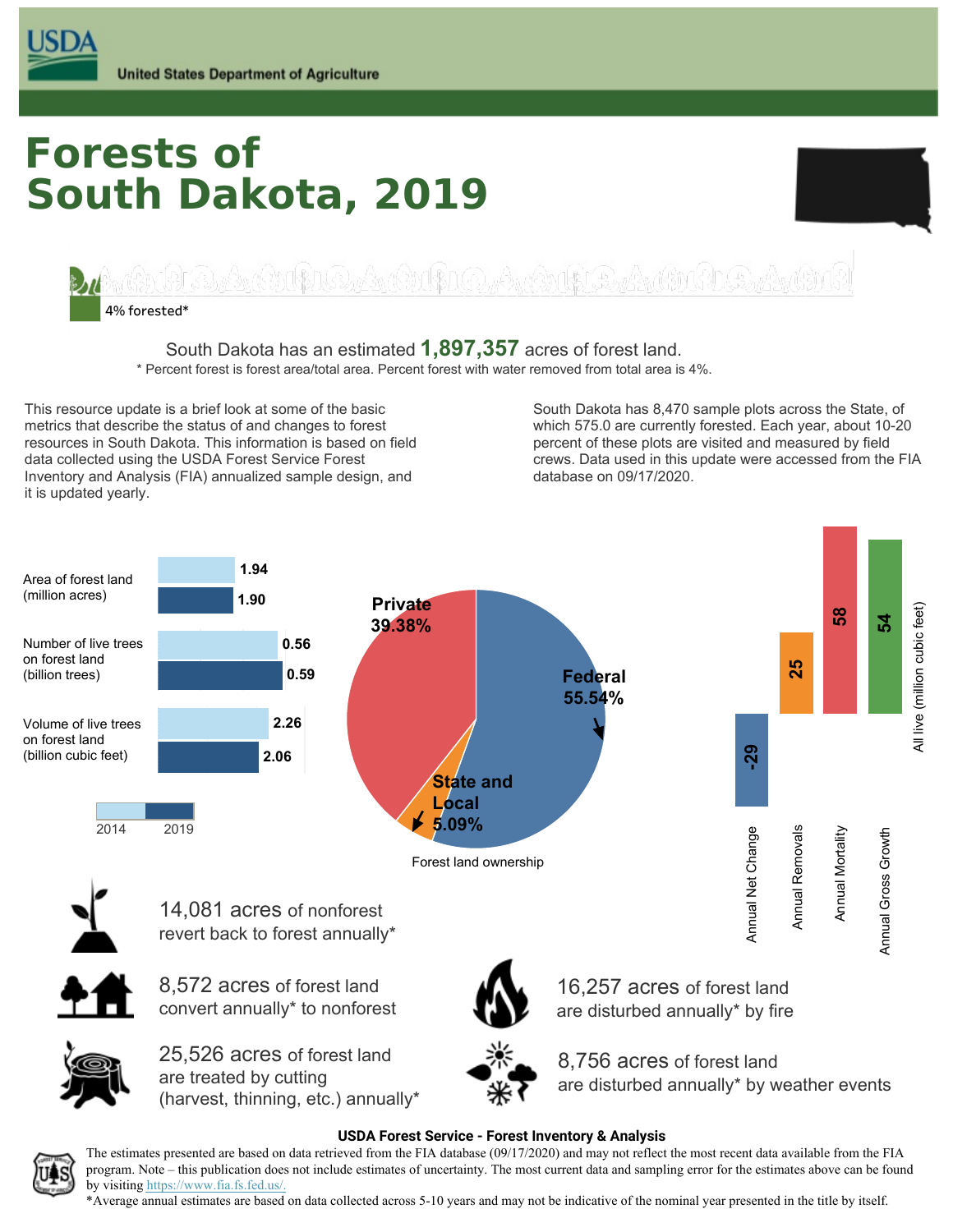# **South Dakota, 2019 Forests of**



 South Dakota has an estimated **1,897,357** acres of forest land.

 \* Percent forest is forest area/total area. Percent forest with water removed from total area is 4%.

This resource update is a brief look at some of the basic metrics that describe the status of and changes to forest resources in South Dakota. This information is based on field percent of these plots are visited and measured by field data collected using the USDA Forest Service Forest Inventory and Analysis (FIA) annualized sample design, and database on 09/17/2020. it is updated yearly. This resource update is a brief look at some of the basic South Dakota has 8,470 sample plots across the State, of metrics that describe the status of and changes to forest which 575.0 are currently forested. Each year, about 10-20 data collected using the USDA Forest Service Forest **crews. Crews. Data used in this update were accessed from** the FIA

percent of these plots are visited and measured by field database on 09/17/2020.



#### **USDA Forest Service - Forest Inventory & Analysis**



 \*Average annual estimates are based on data collected across 5-10 years and may not be indicative of the nominal year presented in the title by itself.